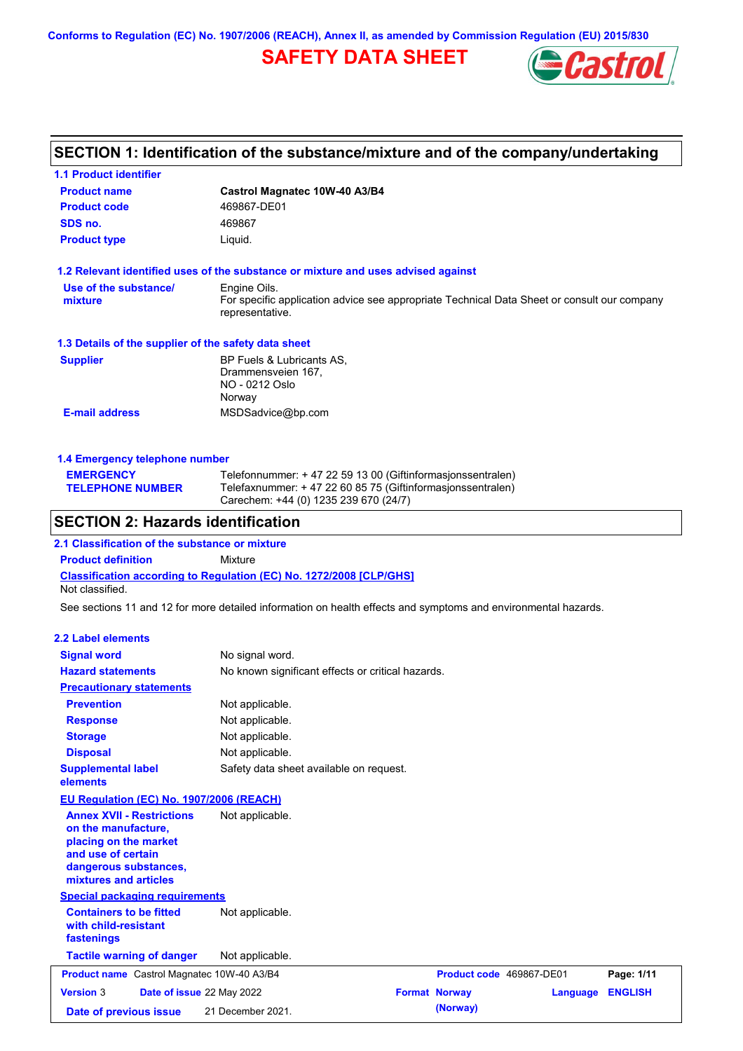**Conforms to Regulation (EC) No. 1907/2006 (REACH), Annex II, as amended by Commission Regulation (EU) 2015/830**

## **SAFETY DATA SHEET**



# **SECTION 1: Identification of the substance/mixture and of the company/undertaking**

| <b>1.1 Product identifier</b>                                                                                                                            |                                                                                                                                                                    |
|----------------------------------------------------------------------------------------------------------------------------------------------------------|--------------------------------------------------------------------------------------------------------------------------------------------------------------------|
| <b>Product name</b>                                                                                                                                      | Castrol Magnatec 10W-40 A3/B4                                                                                                                                      |
| <b>Product code</b>                                                                                                                                      | 469867-DE01                                                                                                                                                        |
| SDS no.                                                                                                                                                  | 469867                                                                                                                                                             |
| <b>Product type</b>                                                                                                                                      | Liquid.                                                                                                                                                            |
|                                                                                                                                                          | 1.2 Relevant identified uses of the substance or mixture and uses advised against                                                                                  |
| Use of the substance/<br>mixture                                                                                                                         | Engine Oils.<br>For specific application advice see appropriate Technical Data Sheet or consult our company<br>representative.                                     |
| 1.3 Details of the supplier of the safety data sheet                                                                                                     |                                                                                                                                                                    |
| <b>Supplier</b>                                                                                                                                          | BP Fuels & Lubricants AS,<br>Drammensveien 167,<br>NO - 0212 Oslo<br>Norway                                                                                        |
| <b>E-mail address</b>                                                                                                                                    | MSDSadvice@bp.com                                                                                                                                                  |
| 1.4 Emergency telephone number                                                                                                                           |                                                                                                                                                                    |
| <b>EMERGENCY</b><br><b>TELEPHONE NUMBER</b>                                                                                                              | Telefonnummer: + 47 22 59 13 00 (Giftinformasjonssentralen)<br>Telefaxnummer: +47 22 60 85 75 (Giftinformasjonssentralen)<br>Carechem: +44 (0) 1235 239 670 (24/7) |
| <b>SECTION 2: Hazards identification</b>                                                                                                                 |                                                                                                                                                                    |
| 2.1 Classification of the substance or mixture                                                                                                           |                                                                                                                                                                    |
| <b>Product definition</b>                                                                                                                                | Mixture                                                                                                                                                            |
| Not classified.                                                                                                                                          | Classification according to Regulation (EC) No. 1272/2008 [CLP/GHS]                                                                                                |
|                                                                                                                                                          | See sections 11 and 12 for more detailed information on health effects and symptoms and environmental hazards.                                                     |
| <b>2.2 Label elements</b>                                                                                                                                |                                                                                                                                                                    |
| <b>Signal word</b>                                                                                                                                       | No signal word.                                                                                                                                                    |
| <b>Hazard statements</b>                                                                                                                                 | No known significant effects or critical hazards.                                                                                                                  |
| <b>Precautionary statements</b>                                                                                                                          |                                                                                                                                                                    |
| <b>Prevention</b>                                                                                                                                        | Not applicable.                                                                                                                                                    |
| <b>Response</b>                                                                                                                                          | Not applicable.                                                                                                                                                    |
| <b>Storage</b>                                                                                                                                           | Not applicable.                                                                                                                                                    |
| <b>Disposal</b>                                                                                                                                          | Not applicable.                                                                                                                                                    |
| <b>Supplemental label</b><br>elements                                                                                                                    | Safety data sheet available on request.                                                                                                                            |
| <b>EU Regulation (EC) No. 1907/2006 (REACH)</b>                                                                                                          |                                                                                                                                                                    |
| <b>Annex XVII - Restrictions</b><br>on the manufacture,<br>placing on the market<br>and use of certain<br>dangerous substances,<br>mixtures and articles | Not applicable.                                                                                                                                                    |
| <b>Special packaging requirements</b>                                                                                                                    |                                                                                                                                                                    |
| <b>Containers to be fitted</b><br>with child-resistant<br>fastenings                                                                                     | Not applicable.                                                                                                                                                    |
| <b>Tactile warning of danger</b>                                                                                                                         | Not applicable.                                                                                                                                                    |
|                                                                                                                                                          |                                                                                                                                                                    |

| <b>Product name</b> Castrol Magnatec 10W-40 A3/B4 |  | <b>Product code</b> 469867-DE01  |  | Page: 1/11           |                  |  |
|---------------------------------------------------|--|----------------------------------|--|----------------------|------------------|--|
| <b>Version 3</b>                                  |  | <b>Date of issue 22 May 2022</b> |  | <b>Format Norway</b> | Language ENGLISH |  |
| Date of previous issue                            |  | 21 December 2021.                |  | (Norway)             |                  |  |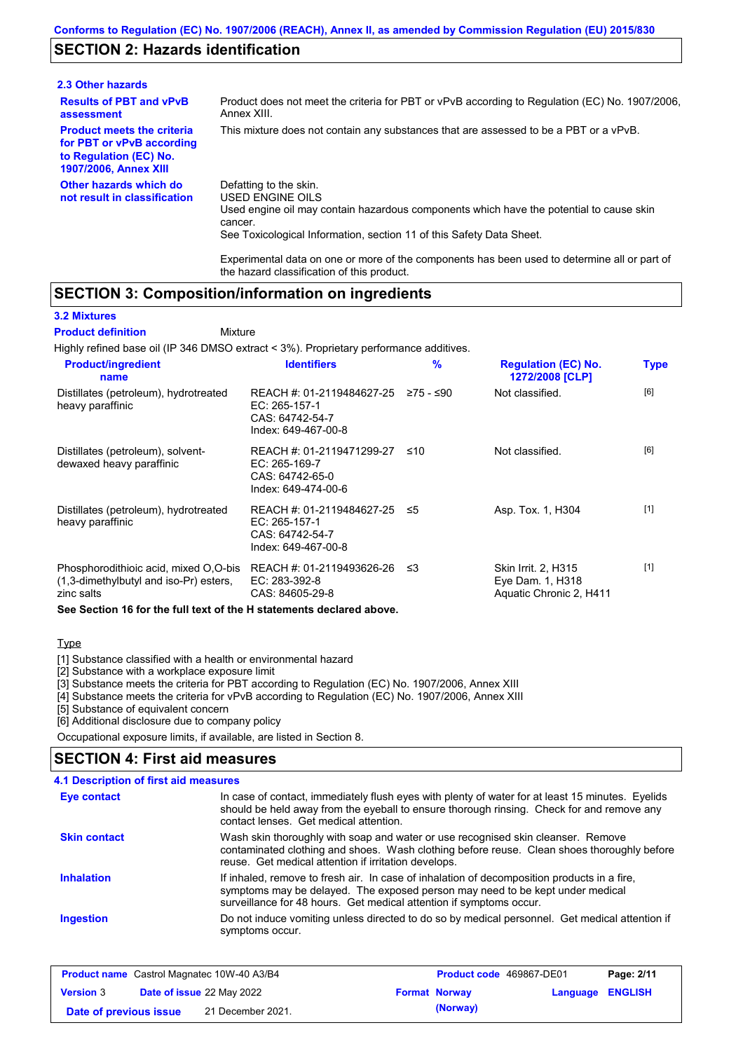## **SECTION 2: Hazards identification**

| 2.3 Other hazards                                                                                                        |                                                                                                                                                                                                                          |
|--------------------------------------------------------------------------------------------------------------------------|--------------------------------------------------------------------------------------------------------------------------------------------------------------------------------------------------------------------------|
| <b>Results of PBT and vPvB</b><br>assessment                                                                             | Product does not meet the criteria for PBT or vPvB according to Regulation (EC) No. 1907/2006.<br>Annex XIII.                                                                                                            |
| <b>Product meets the criteria</b><br>for PBT or vPvB according<br>to Regulation (EC) No.<br><b>1907/2006, Annex XIII</b> | This mixture does not contain any substances that are assessed to be a PBT or a vPvB.                                                                                                                                    |
| Other hazards which do<br>not result in classification                                                                   | Defatting to the skin.<br>USED ENGINE OILS<br>Used engine oil may contain hazardous components which have the potential to cause skin<br>cancer.<br>See Toxicological Information, section 11 of this Safety Data Sheet. |

Experimental data on one or more of the components has been used to determine all or part of the hazard classification of this product.

### **SECTION 3: Composition/information on ingredients**

#### **3.2 Mixtures**

Mixture **Product definition**

Highly refined base oil (IP 346 DMSO extract < 3%). Proprietary performance additives.

| <b>Product/ingredient</b><br>name                                                             | <b>Identifiers</b>                                                                   | $\frac{9}{6}$ | <b>Regulation (EC) No.</b><br>1272/2008 [CLP]                             | <b>Type</b> |
|-----------------------------------------------------------------------------------------------|--------------------------------------------------------------------------------------|---------------|---------------------------------------------------------------------------|-------------|
| Distillates (petroleum), hydrotreated<br>heavy paraffinic                                     | REACH #: 01-2119484627-25<br>EC: 265-157-1<br>CAS: 64742-54-7<br>Index: 649-467-00-8 | ≥75 - ≤90     | Not classified.                                                           | [6]         |
| Distillates (petroleum), solvent-<br>dewaxed heavy paraffinic                                 | REACH #: 01-2119471299-27<br>EC: 265-169-7<br>CAS: 64742-65-0<br>Index: 649-474-00-6 | ≤10           | Not classified.                                                           | [6]         |
| Distillates (petroleum), hydrotreated<br>heavy paraffinic                                     | REACH #: 01-2119484627-25<br>EC: 265-157-1<br>CAS: 64742-54-7<br>Index: 649-467-00-8 | ≤5            | Asp. Tox. 1, H304                                                         | $[1]$       |
| Phosphorodithioic acid, mixed O,O-bis<br>(1,3-dimethylbutyl and iso-Pr) esters,<br>zinc salts | REACH #: 01-2119493626-26<br>EC: 283-392-8<br>CAS: 84605-29-8                        | ≤3            | <b>Skin Irrit. 2, H315</b><br>Eye Dam. 1, H318<br>Aquatic Chronic 2, H411 | $[1]$       |
| See Section 16 for the full text of the H statements declared above.                          |                                                                                      |               |                                                                           |             |

#### **Type**

[1] Substance classified with a health or environmental hazard

[2] Substance with a workplace exposure limit

[3] Substance meets the criteria for PBT according to Regulation (EC) No. 1907/2006, Annex XIII

[4] Substance meets the criteria for vPvB according to Regulation (EC) No. 1907/2006, Annex XIII

[5] Substance of equivalent concern

[6] Additional disclosure due to company policy

Occupational exposure limits, if available, are listed in Section 8.

### **4.1 Description of first aid measures SECTION 4: First aid measures**

| Eye contact         | In case of contact, immediately flush eyes with plenty of water for at least 15 minutes. Eyelids<br>should be held away from the eyeball to ensure thorough rinsing. Check for and remove any<br>contact lenses. Get medical attention.             |
|---------------------|-----------------------------------------------------------------------------------------------------------------------------------------------------------------------------------------------------------------------------------------------------|
| <b>Skin contact</b> | Wash skin thoroughly with soap and water or use recognised skin cleanser. Remove<br>contaminated clothing and shoes. Wash clothing before reuse. Clean shoes thoroughly before<br>reuse. Get medical attention if irritation develops.              |
| <b>Inhalation</b>   | If inhaled, remove to fresh air. In case of inhalation of decomposition products in a fire,<br>symptoms may be delayed. The exposed person may need to be kept under medical<br>surveillance for 48 hours. Get medical attention if symptoms occur. |
| <b>Ingestion</b>    | Do not induce vomiting unless directed to do so by medical personnel. Get medical attention if<br>symptoms occur.                                                                                                                                   |

| <b>Product name</b> Castrol Magnatec 10W-40 A3/B4 |  | <b>Product code</b> 469867-DE01  |  | Page: 2/11           |                  |  |
|---------------------------------------------------|--|----------------------------------|--|----------------------|------------------|--|
| <b>Version 3</b>                                  |  | <b>Date of issue 22 May 2022</b> |  | <b>Format Norway</b> | Language ENGLISH |  |
| Date of previous issue                            |  | 21 December 2021.                |  | (Norway)             |                  |  |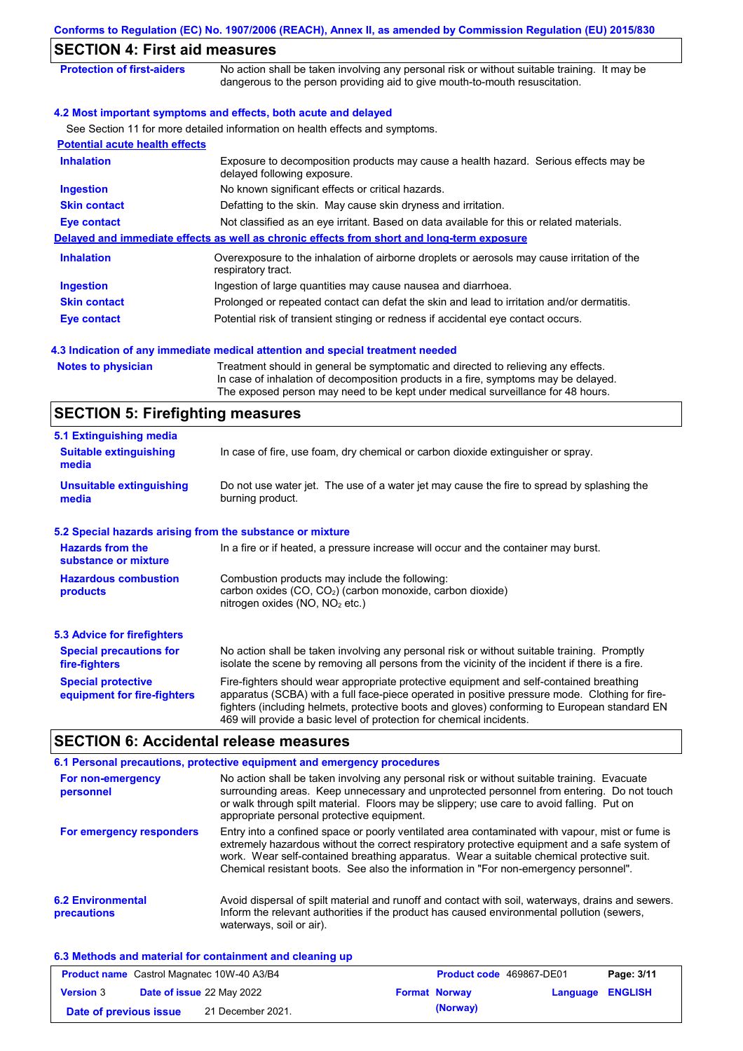| <b>SECTION 4: First aid measures</b>                      |                                                                                                                                                                                                                                                                                                                                                                   |
|-----------------------------------------------------------|-------------------------------------------------------------------------------------------------------------------------------------------------------------------------------------------------------------------------------------------------------------------------------------------------------------------------------------------------------------------|
| <b>Protection of first-aiders</b>                         | No action shall be taken involving any personal risk or without suitable training. It may be<br>dangerous to the person providing aid to give mouth-to-mouth resuscitation.                                                                                                                                                                                       |
|                                                           | 4.2 Most important symptoms and effects, both acute and delayed                                                                                                                                                                                                                                                                                                   |
|                                                           | See Section 11 for more detailed information on health effects and symptoms.                                                                                                                                                                                                                                                                                      |
| <b>Potential acute health effects</b>                     |                                                                                                                                                                                                                                                                                                                                                                   |
| <b>Inhalation</b>                                         | Exposure to decomposition products may cause a health hazard. Serious effects may be<br>delayed following exposure.                                                                                                                                                                                                                                               |
| <b>Ingestion</b>                                          | No known significant effects or critical hazards.                                                                                                                                                                                                                                                                                                                 |
| <b>Skin contact</b>                                       | Defatting to the skin. May cause skin dryness and irritation.                                                                                                                                                                                                                                                                                                     |
| <b>Eye contact</b>                                        | Not classified as an eye irritant. Based on data available for this or related materials.                                                                                                                                                                                                                                                                         |
|                                                           | Delayed and immediate effects as well as chronic effects from short and long-term exposure                                                                                                                                                                                                                                                                        |
| <b>Inhalation</b>                                         | Overexposure to the inhalation of airborne droplets or aerosols may cause irritation of the<br>respiratory tract.                                                                                                                                                                                                                                                 |
| <b>Ingestion</b>                                          | Ingestion of large quantities may cause nausea and diarrhoea.                                                                                                                                                                                                                                                                                                     |
| <b>Skin contact</b>                                       | Prolonged or repeated contact can defat the skin and lead to irritation and/or dermatitis.                                                                                                                                                                                                                                                                        |
| <b>Eye contact</b>                                        | Potential risk of transient stinging or redness if accidental eye contact occurs.                                                                                                                                                                                                                                                                                 |
|                                                           | 4.3 Indication of any immediate medical attention and special treatment needed                                                                                                                                                                                                                                                                                    |
| <b>Notes to physician</b>                                 | Treatment should in general be symptomatic and directed to relieving any effects.<br>In case of inhalation of decomposition products in a fire, symptoms may be delayed.<br>The exposed person may need to be kept under medical surveillance for 48 hours.                                                                                                       |
| <b>SECTION 5: Firefighting measures</b>                   |                                                                                                                                                                                                                                                                                                                                                                   |
| 5.1 Extinguishing media                                   |                                                                                                                                                                                                                                                                                                                                                                   |
| <b>Suitable extinguishing</b><br>media                    | In case of fire, use foam, dry chemical or carbon dioxide extinguisher or spray.                                                                                                                                                                                                                                                                                  |
| <b>Unsuitable extinguishing</b><br>media                  | Do not use water jet. The use of a water jet may cause the fire to spread by splashing the<br>burning product.                                                                                                                                                                                                                                                    |
| 5.2 Special hazards arising from the substance or mixture |                                                                                                                                                                                                                                                                                                                                                                   |
| <b>Hazards from the</b><br>substance or mixture           | In a fire or if heated, a pressure increase will occur and the container may burst.                                                                                                                                                                                                                                                                               |
| <b>Hazardous combustion</b><br>products                   | Combustion products may include the following:<br>carbon oxides (CO, CO <sub>2</sub> ) (carbon monoxide, carbon dioxide)<br>nitrogen oxides (NO, NO <sub>2</sub> etc.)                                                                                                                                                                                            |
| <b>5.3 Advice for firefighters</b>                        |                                                                                                                                                                                                                                                                                                                                                                   |
| <b>Special precautions for</b><br>fire-fighters           | No action shall be taken involving any personal risk or without suitable training. Promptly<br>isolate the scene by removing all persons from the vicinity of the incident if there is a fire.                                                                                                                                                                    |
| <b>Special protective</b><br>equipment for fire-fighters  | Fire-fighters should wear appropriate protective equipment and self-contained breathing<br>apparatus (SCBA) with a full face-piece operated in positive pressure mode. Clothing for fire-<br>fighters (including helmets, protective boots and gloves) conforming to European standard EN<br>469 will provide a basic level of protection for chemical incidents. |

## **SECTION 6: Accidental release measures**

|                                         | 6.1 Personal precautions, protective equipment and emergency procedures                                                                                                                                                                                                                                                                                                              |
|-----------------------------------------|--------------------------------------------------------------------------------------------------------------------------------------------------------------------------------------------------------------------------------------------------------------------------------------------------------------------------------------------------------------------------------------|
| For non-emergency<br>personnel          | No action shall be taken involving any personal risk or without suitable training. Evacuate<br>surrounding areas. Keep unnecessary and unprotected personnel from entering. Do not touch<br>or walk through spilt material. Floors may be slippery; use care to avoid falling. Put on<br>appropriate personal protective equipment.                                                  |
| For emergency responders                | Entry into a confined space or poorly ventilated area contaminated with vapour, mist or fume is<br>extremely hazardous without the correct respiratory protective equipment and a safe system of<br>work. Wear self-contained breathing apparatus. Wear a suitable chemical protective suit.<br>Chemical resistant boots. See also the information in "For non-emergency personnel". |
| <b>6.2 Environmental</b><br>precautions | Avoid dispersal of spilt material and runoff and contact with soil, waterways, drains and sewers.<br>Inform the relevant authorities if the product has caused environmental pollution (sewers,<br>waterways, soil or air).                                                                                                                                                          |

### **6.3 Methods and material for containment and cleaning up**

| <b>Product name</b> Castrol Magnatec 10W-40 A3/B4 |                                  | <b>Product code</b> 469867-DE01 |  | Page: 3/11           |                         |  |
|---------------------------------------------------|----------------------------------|---------------------------------|--|----------------------|-------------------------|--|
| <b>Version 3</b>                                  | <b>Date of issue 22 May 2022</b> |                                 |  | <b>Format Norway</b> | <b>Language ENGLISH</b> |  |
| Date of previous issue                            |                                  | 21 December 2021.               |  | (Norway)             |                         |  |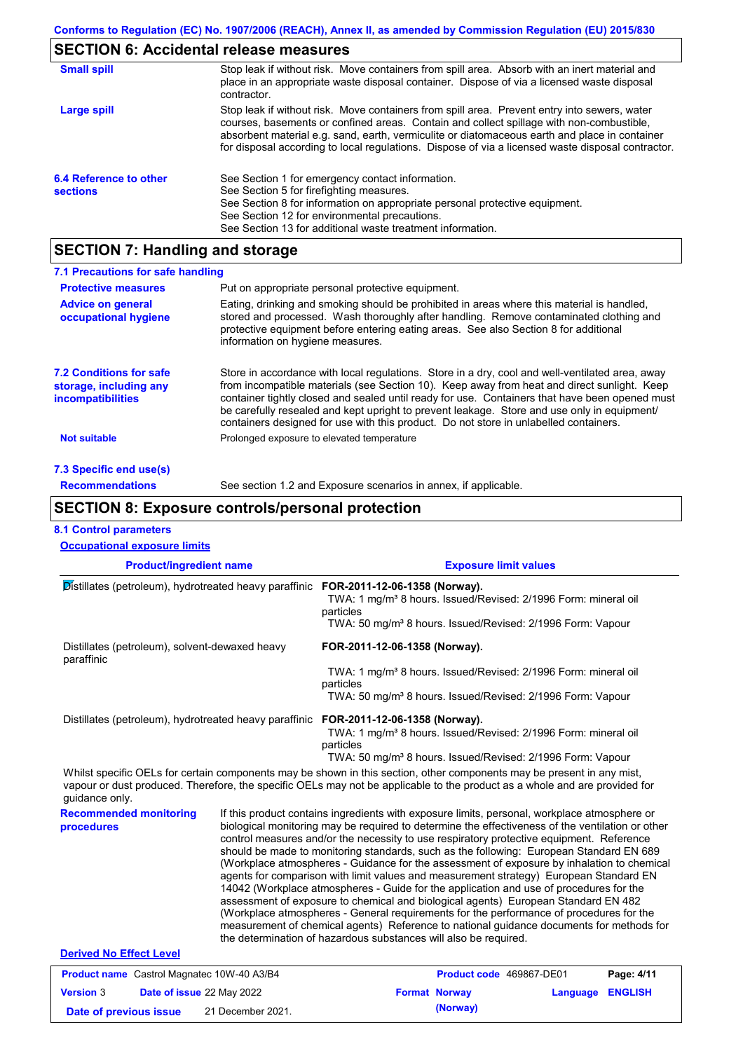# **SECTION 6: Accidental release measures**

| <b>Small spill</b>                        | Stop leak if without risk. Move containers from spill area. Absorb with an inert material and<br>place in an appropriate waste disposal container. Dispose of via a licensed waste disposal<br>contractor.                                                                                                                                                                                     |
|-------------------------------------------|------------------------------------------------------------------------------------------------------------------------------------------------------------------------------------------------------------------------------------------------------------------------------------------------------------------------------------------------------------------------------------------------|
| Large spill                               | Stop leak if without risk. Move containers from spill area. Prevent entry into sewers, water<br>courses, basements or confined areas. Contain and collect spillage with non-combustible,<br>absorbent material e.g. sand, earth, vermiculite or diatomaceous earth and place in container<br>for disposal according to local regulations. Dispose of via a licensed waste disposal contractor. |
| 6.4 Reference to other<br><b>sections</b> | See Section 1 for emergency contact information.<br>See Section 5 for firefighting measures.<br>See Section 8 for information on appropriate personal protective equipment.<br>See Section 12 for environmental precautions.<br>See Section 13 for additional waste treatment information.                                                                                                     |

# **SECTION 7: Handling and storage**

| 7.1 Precautions for safe handling                                                    |                                                                                                                                                                                                                                                                                                                                                                                                                                                                                          |
|--------------------------------------------------------------------------------------|------------------------------------------------------------------------------------------------------------------------------------------------------------------------------------------------------------------------------------------------------------------------------------------------------------------------------------------------------------------------------------------------------------------------------------------------------------------------------------------|
| <b>Protective measures</b>                                                           | Put on appropriate personal protective equipment.                                                                                                                                                                                                                                                                                                                                                                                                                                        |
| <b>Advice on general</b><br>occupational hygiene                                     | Eating, drinking and smoking should be prohibited in areas where this material is handled,<br>stored and processed. Wash thoroughly after handling. Remove contaminated clothing and<br>protective equipment before entering eating areas. See also Section 8 for additional<br>information on hygiene measures.                                                                                                                                                                         |
| <b>7.2 Conditions for safe</b><br>storage, including any<br><i>incompatibilities</i> | Store in accordance with local regulations. Store in a dry, cool and well-ventilated area, away<br>from incompatible materials (see Section 10). Keep away from heat and direct sunlight. Keep<br>container tightly closed and sealed until ready for use. Containers that have been opened must<br>be carefully resealed and kept upright to prevent leakage. Store and use only in equipment/<br>containers designed for use with this product. Do not store in unlabelled containers. |
| Not suitable                                                                         | Prolonged exposure to elevated temperature                                                                                                                                                                                                                                                                                                                                                                                                                                               |
| 7.3 Specific end use(s)                                                              |                                                                                                                                                                                                                                                                                                                                                                                                                                                                                          |
| <b>Recommendations</b>                                                               | See section 1.2 and Exposure scenarios in annex, if applicable.                                                                                                                                                                                                                                                                                                                                                                                                                          |

## **SECTION 8: Exposure controls/personal protection**

**Date of previous issue (Norway)** 21 December 2021.

### **8.1 Control parameters**

| <b>Product/ingredient name</b>                                                                                                                                                                                                                                         |                                                | <b>Exposure limit values</b>                                                                                                                                                                                                                                                                                                                                                                                                                                                                                                                                                                                                                                                                                                                                                                                                                                                                                                                                                                                               |                                                                                                                                                      |          |                |
|------------------------------------------------------------------------------------------------------------------------------------------------------------------------------------------------------------------------------------------------------------------------|------------------------------------------------|----------------------------------------------------------------------------------------------------------------------------------------------------------------------------------------------------------------------------------------------------------------------------------------------------------------------------------------------------------------------------------------------------------------------------------------------------------------------------------------------------------------------------------------------------------------------------------------------------------------------------------------------------------------------------------------------------------------------------------------------------------------------------------------------------------------------------------------------------------------------------------------------------------------------------------------------------------------------------------------------------------------------------|------------------------------------------------------------------------------------------------------------------------------------------------------|----------|----------------|
| Distillates (petroleum), hydrotreated heavy paraffinic FOR-2011-12-06-1358 (Norway).                                                                                                                                                                                   |                                                | TWA: 1 mg/m <sup>3</sup> 8 hours. Issued/Revised: 2/1996 Form: mineral oil<br>particles<br>TWA: 50 mg/m <sup>3</sup> 8 hours. Issued/Revised: 2/1996 Form: Vapour                                                                                                                                                                                                                                                                                                                                                                                                                                                                                                                                                                                                                                                                                                                                                                                                                                                          |                                                                                                                                                      |          |                |
| paraffinic                                                                                                                                                                                                                                                             | Distillates (petroleum), solvent-dewaxed heavy |                                                                                                                                                                                                                                                                                                                                                                                                                                                                                                                                                                                                                                                                                                                                                                                                                                                                                                                                                                                                                            | FOR-2011-12-06-1358 (Norway).                                                                                                                        |          |                |
|                                                                                                                                                                                                                                                                        |                                                | particles                                                                                                                                                                                                                                                                                                                                                                                                                                                                                                                                                                                                                                                                                                                                                                                                                                                                                                                                                                                                                  | TWA: 1 mg/m <sup>3</sup> 8 hours. Issued/Revised: 2/1996 Form: mineral oil<br>TWA: 50 mg/m <sup>3</sup> 8 hours. Issued/Revised: 2/1996 Form: Vapour |          |                |
| Distillates (petroleum), hydrotreated heavy paraffinic                                                                                                                                                                                                                 |                                                | FOR-2011-12-06-1358 (Norway).<br>particles                                                                                                                                                                                                                                                                                                                                                                                                                                                                                                                                                                                                                                                                                                                                                                                                                                                                                                                                                                                 | TWA: 1 mg/m <sup>3</sup> 8 hours. Issued/Revised: 2/1996 Form: mineral oil<br>TWA: 50 mg/m <sup>3</sup> 8 hours. Issued/Revised: 2/1996 Form: Vapour |          |                |
| Whilst specific OELs for certain components may be shown in this section, other components may be present in any mist,<br>vapour or dust produced. Therefore, the specific OELs may not be applicable to the product as a whole and are provided for<br>guidance only. |                                                |                                                                                                                                                                                                                                                                                                                                                                                                                                                                                                                                                                                                                                                                                                                                                                                                                                                                                                                                                                                                                            |                                                                                                                                                      |          |                |
| <b>Recommended monitoring</b><br>procedures                                                                                                                                                                                                                            |                                                | If this product contains ingredients with exposure limits, personal, workplace atmosphere or<br>biological monitoring may be required to determine the effectiveness of the ventilation or other<br>control measures and/or the necessity to use respiratory protective equipment. Reference<br>should be made to monitoring standards, such as the following: European Standard EN 689<br>(Workplace atmospheres - Guidance for the assessment of exposure by inhalation to chemical<br>agents for comparison with limit values and measurement strategy) European Standard EN<br>14042 (Workplace atmospheres - Guide for the application and use of procedures for the<br>assessment of exposure to chemical and biological agents) European Standard EN 482<br>(Workplace atmospheres - General requirements for the performance of procedures for the<br>measurement of chemical agents) Reference to national guidance documents for methods for<br>the determination of hazardous substances will also be required. |                                                                                                                                                      |          |                |
| <b>Derived No Effect Level</b>                                                                                                                                                                                                                                         |                                                |                                                                                                                                                                                                                                                                                                                                                                                                                                                                                                                                                                                                                                                                                                                                                                                                                                                                                                                                                                                                                            |                                                                                                                                                      |          |                |
| Product name Castrol Magnatec 10W-40 A3/B4                                                                                                                                                                                                                             |                                                |                                                                                                                                                                                                                                                                                                                                                                                                                                                                                                                                                                                                                                                                                                                                                                                                                                                                                                                                                                                                                            | Product code 469867-DE01                                                                                                                             |          | Page: 4/11     |
| <b>Version 3</b><br>Date of issue 22 May 2022                                                                                                                                                                                                                          |                                                |                                                                                                                                                                                                                                                                                                                                                                                                                                                                                                                                                                                                                                                                                                                                                                                                                                                                                                                                                                                                                            | <b>Format Norway</b>                                                                                                                                 | Language | <b>ENGLISH</b> |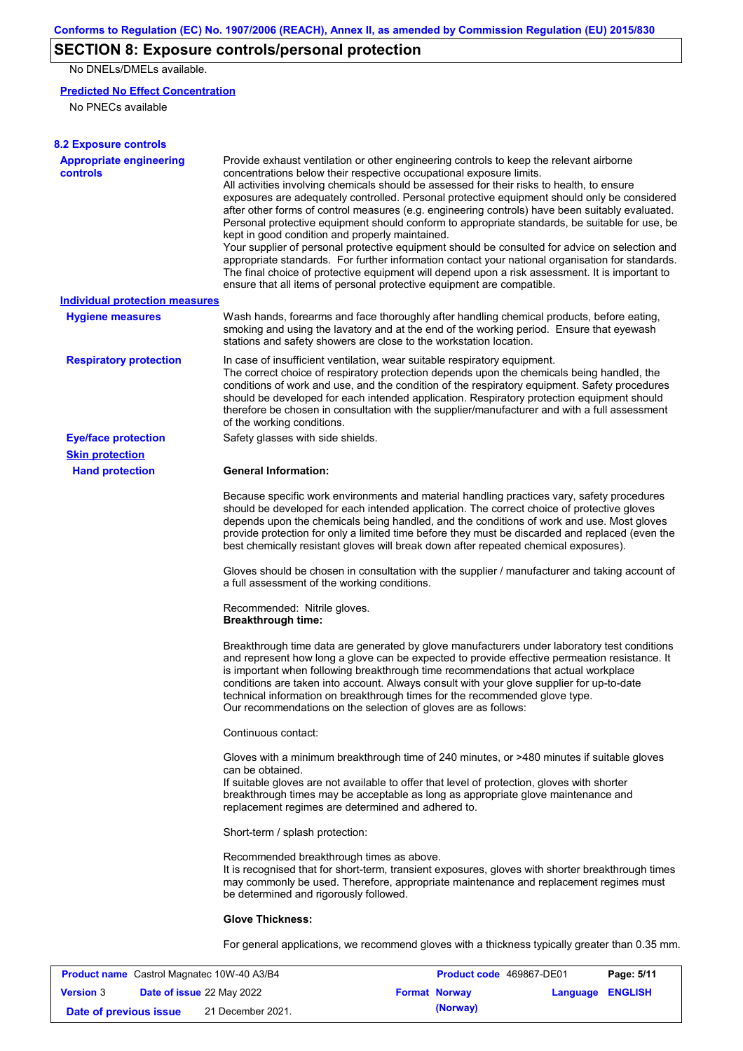## **SECTION 8: Exposure controls/personal protection**

No DNELs/DMELs available.

### **Predicted No Effect Concentration**

No PNECs available

| <b>8.2 Exposure controls</b>               |                                                                                                                                                                                                                                                                                                                                                                                                                                                                                                                                                                                                                                                                                                                                                                                                                                                                                                                                                                                                         |
|--------------------------------------------|---------------------------------------------------------------------------------------------------------------------------------------------------------------------------------------------------------------------------------------------------------------------------------------------------------------------------------------------------------------------------------------------------------------------------------------------------------------------------------------------------------------------------------------------------------------------------------------------------------------------------------------------------------------------------------------------------------------------------------------------------------------------------------------------------------------------------------------------------------------------------------------------------------------------------------------------------------------------------------------------------------|
| <b>Appropriate engineering</b><br>controls | Provide exhaust ventilation or other engineering controls to keep the relevant airborne<br>concentrations below their respective occupational exposure limits.<br>All activities involving chemicals should be assessed for their risks to health, to ensure<br>exposures are adequately controlled. Personal protective equipment should only be considered<br>after other forms of control measures (e.g. engineering controls) have been suitably evaluated.<br>Personal protective equipment should conform to appropriate standards, be suitable for use, be<br>kept in good condition and properly maintained.<br>Your supplier of personal protective equipment should be consulted for advice on selection and<br>appropriate standards. For further information contact your national organisation for standards.<br>The final choice of protective equipment will depend upon a risk assessment. It is important to<br>ensure that all items of personal protective equipment are compatible. |
| Individual protection measures             |                                                                                                                                                                                                                                                                                                                                                                                                                                                                                                                                                                                                                                                                                                                                                                                                                                                                                                                                                                                                         |
| <b>Hygiene measures</b>                    | Wash hands, forearms and face thoroughly after handling chemical products, before eating,<br>smoking and using the lavatory and at the end of the working period. Ensure that eyewash<br>stations and safety showers are close to the workstation location.                                                                                                                                                                                                                                                                                                                                                                                                                                                                                                                                                                                                                                                                                                                                             |
| <b>Respiratory protection</b>              | In case of insufficient ventilation, wear suitable respiratory equipment.<br>The correct choice of respiratory protection depends upon the chemicals being handled, the<br>conditions of work and use, and the condition of the respiratory equipment. Safety procedures<br>should be developed for each intended application. Respiratory protection equipment should<br>therefore be chosen in consultation with the supplier/manufacturer and with a full assessment<br>of the working conditions.                                                                                                                                                                                                                                                                                                                                                                                                                                                                                                   |
| <b>Eye/face protection</b>                 | Safety glasses with side shields.                                                                                                                                                                                                                                                                                                                                                                                                                                                                                                                                                                                                                                                                                                                                                                                                                                                                                                                                                                       |
| <b>Skin protection</b>                     |                                                                                                                                                                                                                                                                                                                                                                                                                                                                                                                                                                                                                                                                                                                                                                                                                                                                                                                                                                                                         |
| <b>Hand protection</b>                     | <b>General Information:</b>                                                                                                                                                                                                                                                                                                                                                                                                                                                                                                                                                                                                                                                                                                                                                                                                                                                                                                                                                                             |
|                                            | Because specific work environments and material handling practices vary, safety procedures<br>should be developed for each intended application. The correct choice of protective gloves<br>depends upon the chemicals being handled, and the conditions of work and use. Most gloves<br>provide protection for only a limited time before they must be discarded and replaced (even the<br>best chemically resistant gloves will break down after repeated chemical exposures).                                                                                                                                                                                                                                                                                                                                                                                                                                                                                                                        |
|                                            | Gloves should be chosen in consultation with the supplier / manufacturer and taking account of<br>a full assessment of the working conditions.                                                                                                                                                                                                                                                                                                                                                                                                                                                                                                                                                                                                                                                                                                                                                                                                                                                          |
|                                            | Recommended: Nitrile gloves.<br><b>Breakthrough time:</b>                                                                                                                                                                                                                                                                                                                                                                                                                                                                                                                                                                                                                                                                                                                                                                                                                                                                                                                                               |
|                                            | Breakthrough time data are generated by glove manufacturers under laboratory test conditions<br>and represent how long a glove can be expected to provide effective permeation resistance. It<br>is important when following breakthrough time recommendations that actual workplace<br>conditions are taken into account. Always consult with your glove supplier for up-to-date<br>technical information on breakthrough times for the recommended glove type.<br>Our recommendations on the selection of gloves are as follows:                                                                                                                                                                                                                                                                                                                                                                                                                                                                      |
|                                            | Continuous contact:                                                                                                                                                                                                                                                                                                                                                                                                                                                                                                                                                                                                                                                                                                                                                                                                                                                                                                                                                                                     |
|                                            | Gloves with a minimum breakthrough time of 240 minutes, or >480 minutes if suitable gloves<br>can be obtained.<br>If suitable gloves are not available to offer that level of protection, gloves with shorter<br>breakthrough times may be acceptable as long as appropriate glove maintenance and<br>replacement regimes are determined and adhered to.                                                                                                                                                                                                                                                                                                                                                                                                                                                                                                                                                                                                                                                |
|                                            | Short-term / splash protection:                                                                                                                                                                                                                                                                                                                                                                                                                                                                                                                                                                                                                                                                                                                                                                                                                                                                                                                                                                         |
|                                            | Recommended breakthrough times as above.<br>It is recognised that for short-term, transient exposures, gloves with shorter breakthrough times<br>may commonly be used. Therefore, appropriate maintenance and replacement regimes must<br>be determined and rigorously followed.                                                                                                                                                                                                                                                                                                                                                                                                                                                                                                                                                                                                                                                                                                                        |
|                                            | <b>Glove Thickness:</b>                                                                                                                                                                                                                                                                                                                                                                                                                                                                                                                                                                                                                                                                                                                                                                                                                                                                                                                                                                                 |
|                                            | For general applications, we recommend gloves with a thickness typically greater than 0.35 mm.                                                                                                                                                                                                                                                                                                                                                                                                                                                                                                                                                                                                                                                                                                                                                                                                                                                                                                          |

| <b>Product name</b> Castrol Magnatec 10W-40 A3/B4 |  |                                  | <b>Product code</b> 469867-DE01 |                      | Page: 5/11              |  |
|---------------------------------------------------|--|----------------------------------|---------------------------------|----------------------|-------------------------|--|
| <b>Version 3</b>                                  |  | <b>Date of issue 22 May 2022</b> |                                 | <b>Format Norway</b> | <b>Language ENGLISH</b> |  |
| Date of previous issue                            |  | 21 December 2021.                |                                 | (Norway)             |                         |  |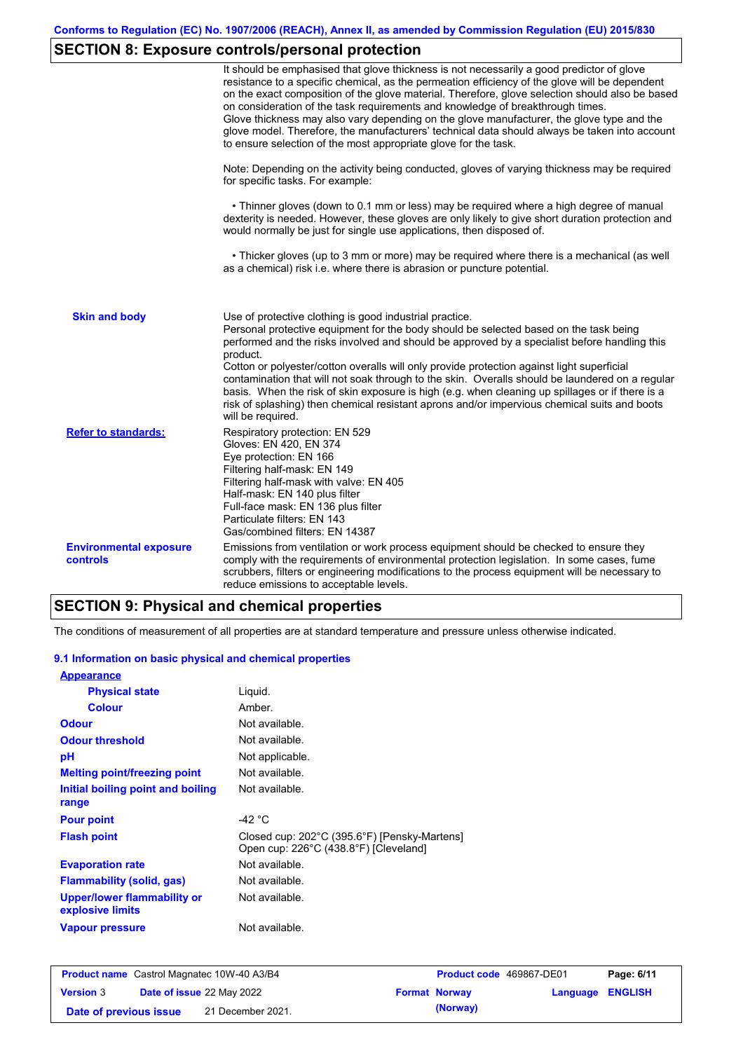# **SECTION 8: Exposure controls/personal protection**

|                                                  | It should be emphasised that glove thickness is not necessarily a good predictor of glove<br>resistance to a specific chemical, as the permeation efficiency of the glove will be dependent<br>on the exact composition of the glove material. Therefore, glove selection should also be based<br>on consideration of the task requirements and knowledge of breakthrough times.<br>Glove thickness may also vary depending on the glove manufacturer, the glove type and the<br>glove model. Therefore, the manufacturers' technical data should always be taken into account<br>to ensure selection of the most appropriate glove for the task.                                     |
|--------------------------------------------------|---------------------------------------------------------------------------------------------------------------------------------------------------------------------------------------------------------------------------------------------------------------------------------------------------------------------------------------------------------------------------------------------------------------------------------------------------------------------------------------------------------------------------------------------------------------------------------------------------------------------------------------------------------------------------------------|
|                                                  | Note: Depending on the activity being conducted, gloves of varying thickness may be required<br>for specific tasks. For example:                                                                                                                                                                                                                                                                                                                                                                                                                                                                                                                                                      |
|                                                  | • Thinner gloves (down to 0.1 mm or less) may be required where a high degree of manual<br>dexterity is needed. However, these gloves are only likely to give short duration protection and<br>would normally be just for single use applications, then disposed of.                                                                                                                                                                                                                                                                                                                                                                                                                  |
|                                                  | • Thicker gloves (up to 3 mm or more) may be required where there is a mechanical (as well<br>as a chemical) risk i.e. where there is abrasion or puncture potential.                                                                                                                                                                                                                                                                                                                                                                                                                                                                                                                 |
| <b>Skin and body</b>                             | Use of protective clothing is good industrial practice.<br>Personal protective equipment for the body should be selected based on the task being<br>performed and the risks involved and should be approved by a specialist before handling this<br>product.<br>Cotton or polyester/cotton overalls will only provide protection against light superficial<br>contamination that will not soak through to the skin. Overalls should be laundered on a regular<br>basis. When the risk of skin exposure is high (e.g. when cleaning up spillages or if there is a<br>risk of splashing) then chemical resistant aprons and/or impervious chemical suits and boots<br>will be required. |
| <b>Refer to standards:</b>                       | Respiratory protection: EN 529<br>Gloves: EN 420, EN 374<br>Eye protection: EN 166<br>Filtering half-mask: EN 149<br>Filtering half-mask with valve: EN 405<br>Half-mask: EN 140 plus filter<br>Full-face mask: EN 136 plus filter<br>Particulate filters: EN 143<br>Gas/combined filters: EN 14387                                                                                                                                                                                                                                                                                                                                                                                   |
| <b>Environmental exposure</b><br><b>controls</b> | Emissions from ventilation or work process equipment should be checked to ensure they<br>comply with the requirements of environmental protection legislation. In some cases, fume<br>scrubbers, filters or engineering modifications to the process equipment will be necessary to<br>reduce emissions to acceptable levels.                                                                                                                                                                                                                                                                                                                                                         |

## **SECTION 9: Physical and chemical properties**

The conditions of measurement of all properties are at standard temperature and pressure unless otherwise indicated.

### **9.1 Information on basic physical and chemical properties**

| <b>Appearance</b>                                      |                                                                                       |
|--------------------------------------------------------|---------------------------------------------------------------------------------------|
| <b>Physical state</b>                                  | Liquid.                                                                               |
| <b>Colour</b>                                          | Amber.                                                                                |
| <b>Odour</b>                                           | Not available.                                                                        |
| <b>Odour threshold</b>                                 | Not available.                                                                        |
| рH                                                     | Not applicable.                                                                       |
| <b>Melting point/freezing point</b>                    | Not available.                                                                        |
| Initial boiling point and boiling<br>range             | Not available.                                                                        |
| <b>Pour point</b>                                      | -42 °C                                                                                |
| <b>Flash point</b>                                     | Closed cup: 202°C (395.6°F) [Pensky-Martens]<br>Open cup: 226°C (438.8°F) [Cleveland] |
| <b>Evaporation rate</b>                                | Not available.                                                                        |
| Flammability (solid, gas)                              | Not available.                                                                        |
| <b>Upper/lower flammability or</b><br>explosive limits | Not available.                                                                        |
| <b>Vapour pressure</b>                                 | Not available.                                                                        |

| <b>Product name</b> Castrol Magnatec 10W-40 A3/B4 |  |                                  | <b>Product code</b> 469867-DE01 |                      | Page: 6/11              |  |
|---------------------------------------------------|--|----------------------------------|---------------------------------|----------------------|-------------------------|--|
| <b>Version 3</b>                                  |  | <b>Date of issue 22 May 2022</b> |                                 | <b>Format Norway</b> | <b>Language ENGLISH</b> |  |
| Date of previous issue                            |  | 21 December 2021.                |                                 | (Norway)             |                         |  |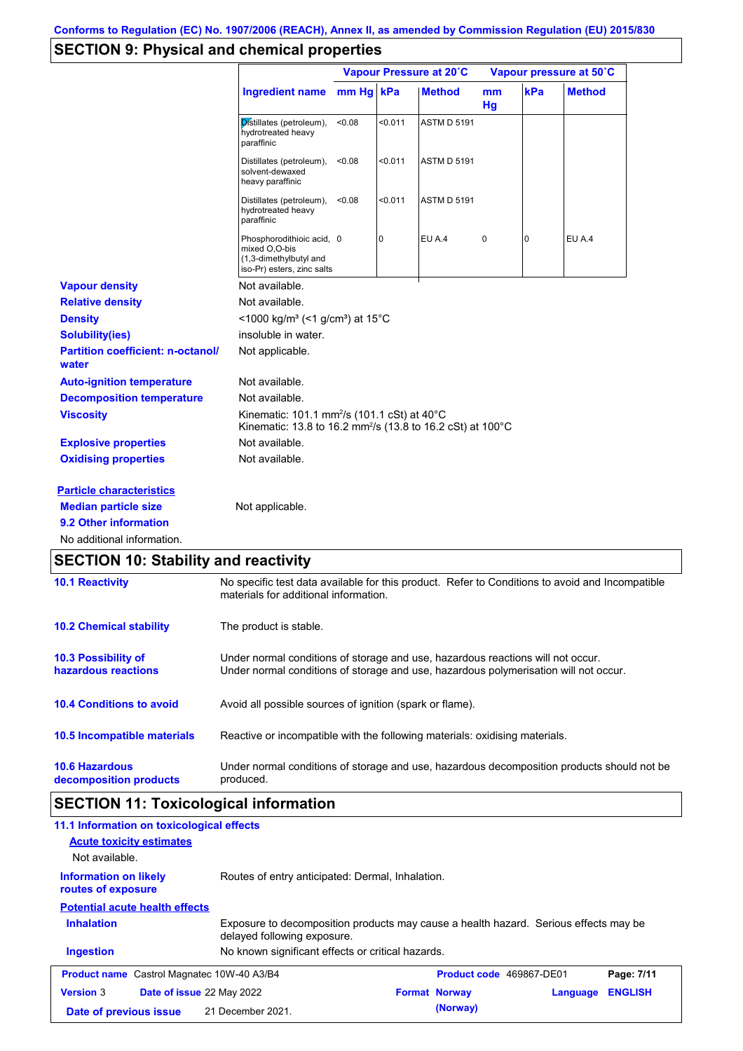## **SECTION 9: Physical and chemical properties**

|                                                   |                                                                                                                                          | Vapour Pressure at 20°C |                |                    | Vapour pressure at 50°C |     |               |
|---------------------------------------------------|------------------------------------------------------------------------------------------------------------------------------------------|-------------------------|----------------|--------------------|-------------------------|-----|---------------|
|                                                   | <b>Ingredient name</b>                                                                                                                   | mm Hg kPa               |                | <b>Method</b>      | mm<br>Hq                | kPa | <b>Method</b> |
|                                                   | Distillates (petroleum),<br>hydrotreated heavy<br>paraffinic                                                                             | <0.08                   | < 0.011        | <b>ASTM D 5191</b> |                         |     |               |
|                                                   | Distillates (petroleum),<br>solvent-dewaxed<br>heavy paraffinic                                                                          | < 0.08                  | < 0.011        | <b>ASTM D 5191</b> |                         |     |               |
|                                                   | Distillates (petroleum),<br>hydrotreated heavy<br>paraffinic                                                                             | < 0.08                  | < 0.011        | <b>ASTM D 5191</b> |                         |     |               |
|                                                   | Phosphorodithioic acid, 0<br>mixed O.O-bis<br>(1,3-dimethylbutyl and<br>iso-Pr) esters, zinc salts                                       |                         | $\overline{0}$ | EU A.4             | 0                       | 0   | EU A.4        |
| <b>Vapour density</b>                             | Not available.                                                                                                                           |                         |                |                    |                         |     |               |
| <b>Relative density</b>                           | Not available.                                                                                                                           |                         |                |                    |                         |     |               |
| <b>Density</b>                                    | <1000 kg/m <sup>3</sup> (<1 g/cm <sup>3</sup> ) at 15 <sup>°</sup> C                                                                     |                         |                |                    |                         |     |               |
| <b>Solubility(ies)</b>                            | insoluble in water.                                                                                                                      |                         |                |                    |                         |     |               |
| <b>Partition coefficient: n-octanol/</b><br>water | Not applicable.                                                                                                                          |                         |                |                    |                         |     |               |
| <b>Auto-ignition temperature</b>                  | Not available.                                                                                                                           |                         |                |                    |                         |     |               |
| <b>Decomposition temperature</b>                  | Not available.                                                                                                                           |                         |                |                    |                         |     |               |
| <b>Viscosity</b>                                  | Kinematic: 101.1 mm <sup>2</sup> /s (101.1 cSt) at 40°C<br>Kinematic: 13.8 to 16.2 mm <sup>2</sup> /s (13.8 to 16.2 cSt) at 100°C        |                         |                |                    |                         |     |               |
| <b>Explosive properties</b>                       | Not available.                                                                                                                           |                         |                |                    |                         |     |               |
| <b>Oxidising properties</b>                       | Not available.                                                                                                                           |                         |                |                    |                         |     |               |
| <b>Particle characteristics</b>                   |                                                                                                                                          |                         |                |                    |                         |     |               |
| <b>Median particle size</b>                       | Not applicable.                                                                                                                          |                         |                |                    |                         |     |               |
| 9.2 Other information                             |                                                                                                                                          |                         |                |                    |                         |     |               |
| No additional information.                        |                                                                                                                                          |                         |                |                    |                         |     |               |
| <b>SECTION 10: Stability and reactivity</b>       |                                                                                                                                          |                         |                |                    |                         |     |               |
| <b>10.1 Reactivity</b>                            | No specific test data available for this product. Refer to Conditions to avoid and Incompatible<br>materials for additional information. |                         |                |                    |                         |     |               |
| <b>10.2 Chemical stability</b>                    | The product is stable.                                                                                                                   |                         |                |                    |                         |     |               |

| <b>10.3 Possibility of</b>      | Under normal conditions of storage and use, hazardous reactions will not occur.            |
|---------------------------------|--------------------------------------------------------------------------------------------|
| hazardous reactions             | Under normal conditions of storage and use, hazardous polymerisation will not occur.       |
| <b>10.4 Conditions to avoid</b> | Avoid all possible sources of ignition (spark or flame).                                   |
| 10.5 Incompatible materials     | Reactive or incompatible with the following materials: oxidising materials.                |
| <b>10.6 Hazardous</b>           | Under normal conditions of storage and use, hazardous decomposition products should not be |
| decomposition products          | produced.                                                                                  |

# **SECTION 11: Toxicological information**

| 11.1 Information on toxicological effects<br><b>Acute toxicity estimates</b><br>Not available. |                                                                                                                     |                          |          |                |
|------------------------------------------------------------------------------------------------|---------------------------------------------------------------------------------------------------------------------|--------------------------|----------|----------------|
| <b>Information on likely</b><br>routes of exposure                                             | Routes of entry anticipated: Dermal, Inhalation.                                                                    |                          |          |                |
| <b>Potential acute health effects</b>                                                          |                                                                                                                     |                          |          |                |
| <b>Inhalation</b>                                                                              | Exposure to decomposition products may cause a health hazard. Serious effects may be<br>delayed following exposure. |                          |          |                |
| <b>Ingestion</b>                                                                               | No known significant effects or critical hazards.                                                                   |                          |          |                |
| <b>Product name</b> Castrol Magnatec 10W-40 A3/B4                                              |                                                                                                                     | Product code 469867-DE01 |          | Page: 7/11     |
| <b>Version 3</b><br><b>Date of issue 22 May 2022</b>                                           |                                                                                                                     | <b>Format Norway</b>     | Language | <b>ENGLISH</b> |
| Date of previous issue                                                                         | 21 December 2021.                                                                                                   | (Norway)                 |          |                |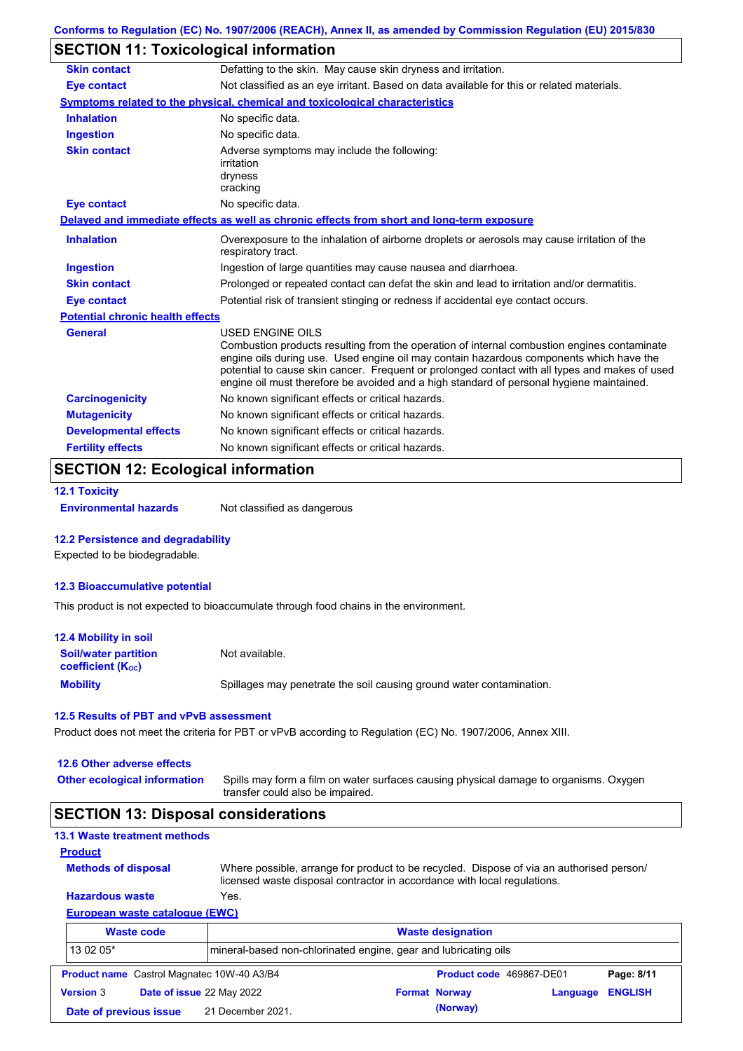## **SECTION 11: Toxicological information**

| <b>Skin contact</b>                     | Defatting to the skin. May cause skin dryness and irritation.                                                                                                                                                                                                                                                                                                                                                   |
|-----------------------------------------|-----------------------------------------------------------------------------------------------------------------------------------------------------------------------------------------------------------------------------------------------------------------------------------------------------------------------------------------------------------------------------------------------------------------|
| <b>Eye contact</b>                      | Not classified as an eye irritant. Based on data available for this or related materials.                                                                                                                                                                                                                                                                                                                       |
|                                         | Symptoms related to the physical, chemical and toxicological characteristics                                                                                                                                                                                                                                                                                                                                    |
| <b>Inhalation</b>                       | No specific data.                                                                                                                                                                                                                                                                                                                                                                                               |
| <b>Ingestion</b>                        | No specific data.                                                                                                                                                                                                                                                                                                                                                                                               |
| <b>Skin contact</b>                     | Adverse symptoms may include the following:<br>irritation<br>dryness                                                                                                                                                                                                                                                                                                                                            |
| <b>Eye contact</b>                      | cracking<br>No specific data.                                                                                                                                                                                                                                                                                                                                                                                   |
|                                         |                                                                                                                                                                                                                                                                                                                                                                                                                 |
|                                         | Delayed and immediate effects as well as chronic effects from short and long-term exposure                                                                                                                                                                                                                                                                                                                      |
| <b>Inhalation</b>                       | Overexposure to the inhalation of airborne droplets or aerosols may cause irritation of the<br>respiratory tract.                                                                                                                                                                                                                                                                                               |
| Ingestion                               | Ingestion of large quantities may cause nausea and diarrhoea.                                                                                                                                                                                                                                                                                                                                                   |
| <b>Skin contact</b>                     | Prolonged or repeated contact can defat the skin and lead to irritation and/or dermatitis.                                                                                                                                                                                                                                                                                                                      |
| <b>Eye contact</b>                      | Potential risk of transient stinging or redness if accidental eye contact occurs.                                                                                                                                                                                                                                                                                                                               |
| <b>Potential chronic health effects</b> |                                                                                                                                                                                                                                                                                                                                                                                                                 |
| <b>General</b>                          | <b>USED ENGINE OILS</b><br>Combustion products resulting from the operation of internal combustion engines contaminate<br>engine oils during use. Used engine oil may contain hazardous components which have the<br>potential to cause skin cancer. Frequent or prolonged contact with all types and makes of used<br>engine oil must therefore be avoided and a high standard of personal hygiene maintained. |
| <b>Carcinogenicity</b>                  | No known significant effects or critical hazards.                                                                                                                                                                                                                                                                                                                                                               |
| <b>Mutagenicity</b>                     | No known significant effects or critical hazards.                                                                                                                                                                                                                                                                                                                                                               |
| <b>Developmental effects</b>            | No known significant effects or critical hazards.                                                                                                                                                                                                                                                                                                                                                               |
| <b>Fertility effects</b>                | No known significant effects or critical hazards.                                                                                                                                                                                                                                                                                                                                                               |
|                                         |                                                                                                                                                                                                                                                                                                                                                                                                                 |

## **SECTION 12: Ecological information**

```
12.1 Toxicity
```
**Environmental hazards** Not classified as dangerous

#### **12.2 Persistence and degradability**

Expected to be biodegradable.

#### **12.3 Bioaccumulative potential**

This product is not expected to bioaccumulate through food chains in the environment.

| <b>12.4 Mobility in soil</b>                                  |                                                                      |
|---------------------------------------------------------------|----------------------------------------------------------------------|
| <b>Soil/water partition</b><br>coefficient (K <sub>oc</sub> ) | Not available.                                                       |
| <b>Mobility</b>                                               | Spillages may penetrate the soil causing ground water contamination. |

#### **12.5 Results of PBT and vPvB assessment**

Product does not meet the criteria for PBT or vPvB according to Regulation (EC) No. 1907/2006, Annex XIII.

#### **12.6 Other adverse effects**

**Other ecological information**

Spills may form a film on water surfaces causing physical damage to organisms. Oxygen transfer could also be impaired.

### **SECTION 13: Disposal considerations**

### **13.1 Waste treatment methods**

**Methods of disposal**

```
Product
```
Where possible, arrange for product to be recycled. Dispose of via an authorised person/ licensed waste disposal contractor in accordance with local regulations.

### **European waste catalogue (EWC) Hazardous waste** Yes.

|                  | <b>Waste code</b>                                 |                                                                 | <b>Waste designation</b> |                          |                |
|------------------|---------------------------------------------------|-----------------------------------------------------------------|--------------------------|--------------------------|----------------|
| 13 02 05*        |                                                   | mineral-based non-chlorinated engine, gear and lubricating oils |                          |                          |                |
|                  | <b>Product name</b> Castrol Magnatec 10W-40 A3/B4 |                                                                 |                          | Product code 469867-DE01 | Page: 8/11     |
| <b>Version 3</b> | Date of issue 22 May 2022                         |                                                                 | <b>Format Norway</b>     | Language                 | <b>ENGLISH</b> |
|                  | Date of previous issue                            | 21 December 2021.                                               | (Norway)                 |                          |                |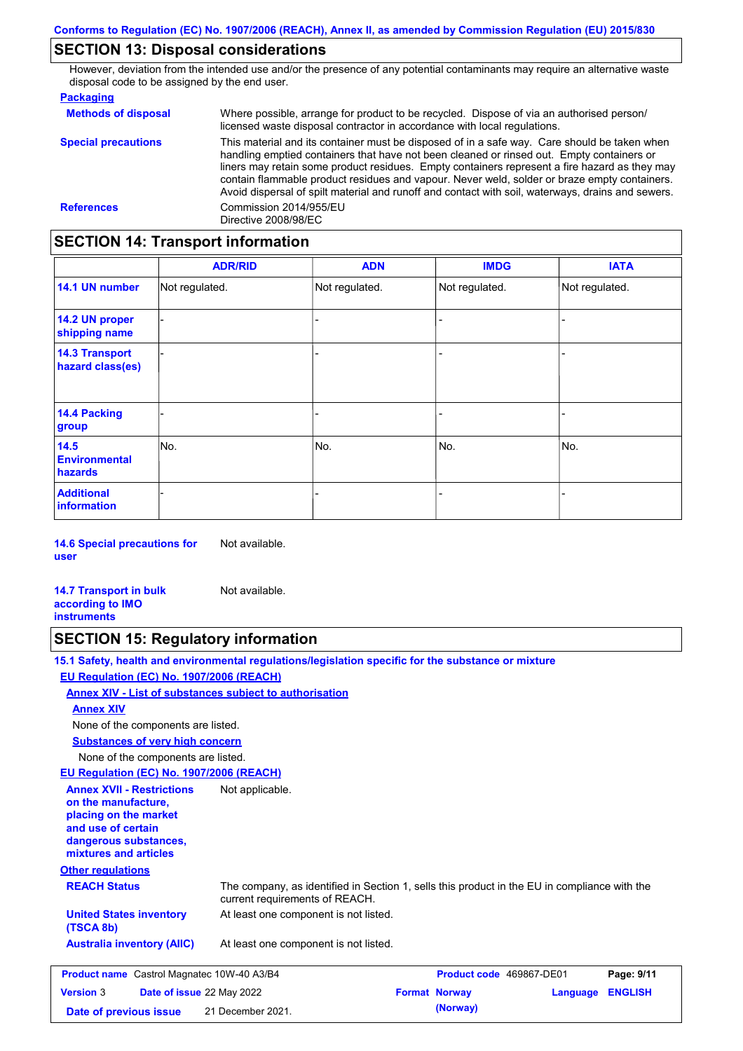## **SECTION 13: Disposal considerations**

However, deviation from the intended use and/or the presence of any potential contaminants may require an alternative waste disposal code to be assigned by the end user.

| <b>Packaging</b>           |                                                                                                                                                                                                                                                                                                                                                                                                                                                                                                 |
|----------------------------|-------------------------------------------------------------------------------------------------------------------------------------------------------------------------------------------------------------------------------------------------------------------------------------------------------------------------------------------------------------------------------------------------------------------------------------------------------------------------------------------------|
| <b>Methods of disposal</b> | Where possible, arrange for product to be recycled. Dispose of via an authorised person/<br>licensed waste disposal contractor in accordance with local regulations.                                                                                                                                                                                                                                                                                                                            |
| <b>Special precautions</b> | This material and its container must be disposed of in a safe way. Care should be taken when<br>handling emptied containers that have not been cleaned or rinsed out. Empty containers or<br>liners may retain some product residues. Empty containers represent a fire hazard as they may<br>contain flammable product residues and vapour. Never weld, solder or braze empty containers.<br>Avoid dispersal of spilt material and runoff and contact with soil, waterways, drains and sewers. |
| <b>References</b>          | Commission 2014/955/EU<br>Directive 2008/98/EC                                                                                                                                                                                                                                                                                                                                                                                                                                                  |

## **SECTION 14: Transport information**

|                                           | <b>ADR/RID</b> | <b>ADN</b>     | <b>IMDG</b>    | <b>IATA</b>    |
|-------------------------------------------|----------------|----------------|----------------|----------------|
| 14.1 UN number                            | Not regulated. | Not regulated. | Not regulated. | Not regulated. |
| 14.2 UN proper<br>shipping name           |                |                |                |                |
| <b>14.3 Transport</b><br>hazard class(es) |                |                |                |                |
| 14.4 Packing<br>group                     |                |                |                |                |
| 14.5<br><b>Environmental</b><br>hazards   | No.            | No.            | No.            | No.            |
| <b>Additional</b><br>information          |                |                |                | -              |

**14.6 Special precautions for user** Not available.

**14.7 Transport in bulk according to IMO instruments** Not available.

### **SECTION 15: Regulatory information**

**15.1 Safety, health and environmental regulations/legislation specific for the substance or mixture EU Regulation (EC) No. 1907/2006 (REACH)**

**Annex XIV - List of substances subject to authorisation**

**Annex XIV**

None of the components are listed.

**Substances of very high concern**

None of the components are listed.

**EU Regulation (EC) No. 1907/2006 (REACH)**

**Other regulations REACH Status** The company, as identified in Section 1, sells this product in the EU in compliance with the current requirements of REACH. At least one component is not listed. **United States inventory** At least one component is not listed. **(TSCA 8b) Australia inventory (AIIC) Annex XVII - Restrictions on the manufacture, placing on the market and use of certain dangerous substances, mixtures and articles** Not applicable. **Product name** Castrol Magnatec 10W-40 A3/B4 **Product code** 469867-DE01 **Page: 9/11**

| <b>Product name</b> Castrol Magnatec 10W-40 A3/B4 |  |                           | <b>Product code</b> 469867-DEUT | Page: 9/11           |                  |  |
|---------------------------------------------------|--|---------------------------|---------------------------------|----------------------|------------------|--|
| <b>Version 3</b>                                  |  | Date of issue 22 May 2022 |                                 | <b>Format Norway</b> | Language ENGLISH |  |
| Date of previous issue                            |  | 21 December 2021.         |                                 | (Norway)             |                  |  |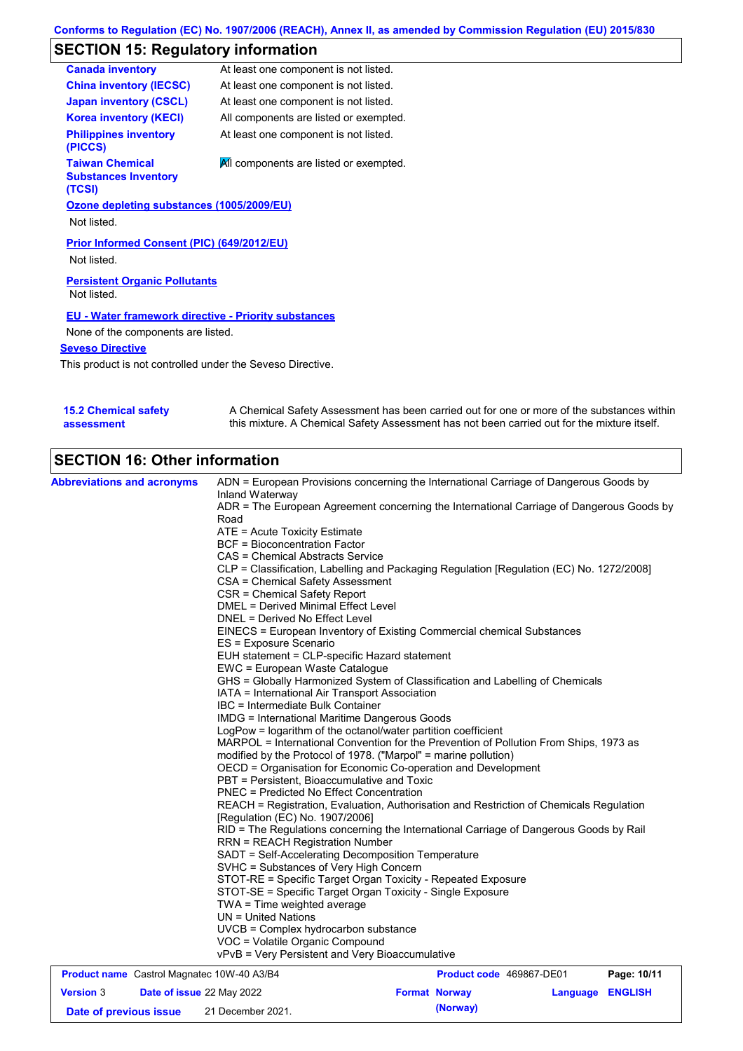# **SECTION 15: Regulatory information**

| <b>Canada inventory</b>                                         | At least one component is not listed.  |
|-----------------------------------------------------------------|----------------------------------------|
| <b>China inventory (IECSC)</b>                                  | At least one component is not listed.  |
| <b>Japan inventory (CSCL)</b>                                   | At least one component is not listed.  |
| <b>Korea inventory (KECI)</b>                                   | All components are listed or exempted. |
| <b>Philippines inventory</b><br>(PICCS)                         | At least one component is not listed.  |
| <b>Taiwan Chemical</b><br><b>Substances Inventory</b><br>(TCSI) | All components are listed or exempted. |
| Ozone depleting substances (1005/2009/EU)                       |                                        |
| Not listed.                                                     |                                        |
| Prior Informed Consent (PIC) (649/2012/EU)                      |                                        |
| Not listed.                                                     |                                        |
| <b>Persistent Organic Pollutants</b><br>Not listed.             |                                        |
| <b>EU - Water framework directive - Priority substances</b>     |                                        |
| None of the components are listed.                              |                                        |
| <b>Seveso Directive</b>                                         |                                        |

This product is not controlled under the Seveso Directive.

| <b>15.2 Chemical safety</b> | A Chemical Safety Assessment has been carried out for one or more of the substances within  |
|-----------------------------|---------------------------------------------------------------------------------------------|
| assessment                  | this mixture. A Chemical Safety Assessment has not been carried out for the mixture itself. |

# **SECTION 16: Other information**

| <b>Abbreviations and acronyms</b>                 |                                                                                                                                                                                                                                                                                               | ADN = European Provisions concerning the International Carriage of Dangerous Goods by                                                                    |                         |  |  |  |
|---------------------------------------------------|-----------------------------------------------------------------------------------------------------------------------------------------------------------------------------------------------------------------------------------------------------------------------------------------------|----------------------------------------------------------------------------------------------------------------------------------------------------------|-------------------------|--|--|--|
|                                                   | Inland Waterway                                                                                                                                                                                                                                                                               | ADR = The European Agreement concerning the International Carriage of Dangerous Goods by                                                                 |                         |  |  |  |
|                                                   | Road                                                                                                                                                                                                                                                                                          |                                                                                                                                                          |                         |  |  |  |
|                                                   | ATE = Acute Toxicity Estimate                                                                                                                                                                                                                                                                 |                                                                                                                                                          |                         |  |  |  |
|                                                   | <b>BCF</b> = Bioconcentration Factor                                                                                                                                                                                                                                                          |                                                                                                                                                          |                         |  |  |  |
|                                                   | CAS = Chemical Abstracts Service                                                                                                                                                                                                                                                              |                                                                                                                                                          |                         |  |  |  |
|                                                   |                                                                                                                                                                                                                                                                                               | CLP = Classification, Labelling and Packaging Regulation [Regulation (EC) No. 1272/2008]                                                                 |                         |  |  |  |
|                                                   | CSA = Chemical Safety Assessment                                                                                                                                                                                                                                                              |                                                                                                                                                          |                         |  |  |  |
|                                                   | CSR = Chemical Safety Report                                                                                                                                                                                                                                                                  |                                                                                                                                                          |                         |  |  |  |
|                                                   | DMEL = Derived Minimal Effect Level                                                                                                                                                                                                                                                           |                                                                                                                                                          |                         |  |  |  |
|                                                   | DNEL = Derived No Effect Level                                                                                                                                                                                                                                                                |                                                                                                                                                          |                         |  |  |  |
|                                                   | ES = Exposure Scenario                                                                                                                                                                                                                                                                        | EINECS = European Inventory of Existing Commercial chemical Substances                                                                                   |                         |  |  |  |
|                                                   | EUH statement = CLP-specific Hazard statement                                                                                                                                                                                                                                                 |                                                                                                                                                          |                         |  |  |  |
|                                                   | EWC = European Waste Catalogue                                                                                                                                                                                                                                                                |                                                                                                                                                          |                         |  |  |  |
|                                                   |                                                                                                                                                                                                                                                                                               | GHS = Globally Harmonized System of Classification and Labelling of Chemicals                                                                            |                         |  |  |  |
|                                                   | IATA = International Air Transport Association                                                                                                                                                                                                                                                |                                                                                                                                                          |                         |  |  |  |
|                                                   | IBC = Intermediate Bulk Container                                                                                                                                                                                                                                                             |                                                                                                                                                          |                         |  |  |  |
|                                                   | IMDG = International Maritime Dangerous Goods                                                                                                                                                                                                                                                 |                                                                                                                                                          |                         |  |  |  |
|                                                   | LogPow = logarithm of the octanol/water partition coefficient                                                                                                                                                                                                                                 |                                                                                                                                                          |                         |  |  |  |
|                                                   |                                                                                                                                                                                                                                                                                               | MARPOL = International Convention for the Prevention of Pollution From Ships, 1973 as<br>modified by the Protocol of 1978. ("Marpol" = marine pollution) |                         |  |  |  |
|                                                   |                                                                                                                                                                                                                                                                                               |                                                                                                                                                          |                         |  |  |  |
|                                                   | OECD = Organisation for Economic Co-operation and Development<br>PBT = Persistent, Bioaccumulative and Toxic<br><b>PNEC = Predicted No Effect Concentration</b><br>REACH = Registration, Evaluation, Authorisation and Restriction of Chemicals Regulation<br>[Regulation (EC) No. 1907/2006] |                                                                                                                                                          |                         |  |  |  |
|                                                   |                                                                                                                                                                                                                                                                                               |                                                                                                                                                          |                         |  |  |  |
|                                                   |                                                                                                                                                                                                                                                                                               |                                                                                                                                                          |                         |  |  |  |
|                                                   |                                                                                                                                                                                                                                                                                               |                                                                                                                                                          |                         |  |  |  |
|                                                   |                                                                                                                                                                                                                                                                                               | RID = The Regulations concerning the International Carriage of Dangerous Goods by Rail                                                                   |                         |  |  |  |
|                                                   | <b>RRN = REACH Registration Number</b>                                                                                                                                                                                                                                                        |                                                                                                                                                          |                         |  |  |  |
|                                                   | SADT = Self-Accelerating Decomposition Temperature                                                                                                                                                                                                                                            |                                                                                                                                                          |                         |  |  |  |
|                                                   | SVHC = Substances of Very High Concern                                                                                                                                                                                                                                                        | STOT-RE = Specific Target Organ Toxicity - Repeated Exposure                                                                                             |                         |  |  |  |
|                                                   | STOT-SE = Specific Target Organ Toxicity - Single Exposure                                                                                                                                                                                                                                    |                                                                                                                                                          |                         |  |  |  |
|                                                   | TWA = Time weighted average                                                                                                                                                                                                                                                                   |                                                                                                                                                          |                         |  |  |  |
|                                                   | $UN = United Nations$                                                                                                                                                                                                                                                                         |                                                                                                                                                          |                         |  |  |  |
|                                                   | UVCB = Complex hydrocarbon substance                                                                                                                                                                                                                                                          |                                                                                                                                                          |                         |  |  |  |
|                                                   | VOC = Volatile Organic Compound                                                                                                                                                                                                                                                               |                                                                                                                                                          |                         |  |  |  |
|                                                   | vPvB = Very Persistent and Very Bioaccumulative                                                                                                                                                                                                                                               |                                                                                                                                                          |                         |  |  |  |
| <b>Product name</b> Castrol Magnatec 10W-40 A3/B4 |                                                                                                                                                                                                                                                                                               | Product code 469867-DE01                                                                                                                                 | Page: 10/11             |  |  |  |
| <b>Version 3</b>                                  | Date of issue 22 May 2022                                                                                                                                                                                                                                                                     | <b>Format Norway</b>                                                                                                                                     | <b>Language ENGLISH</b> |  |  |  |

**Date of previous issue (Norway)** 21 December 2021.